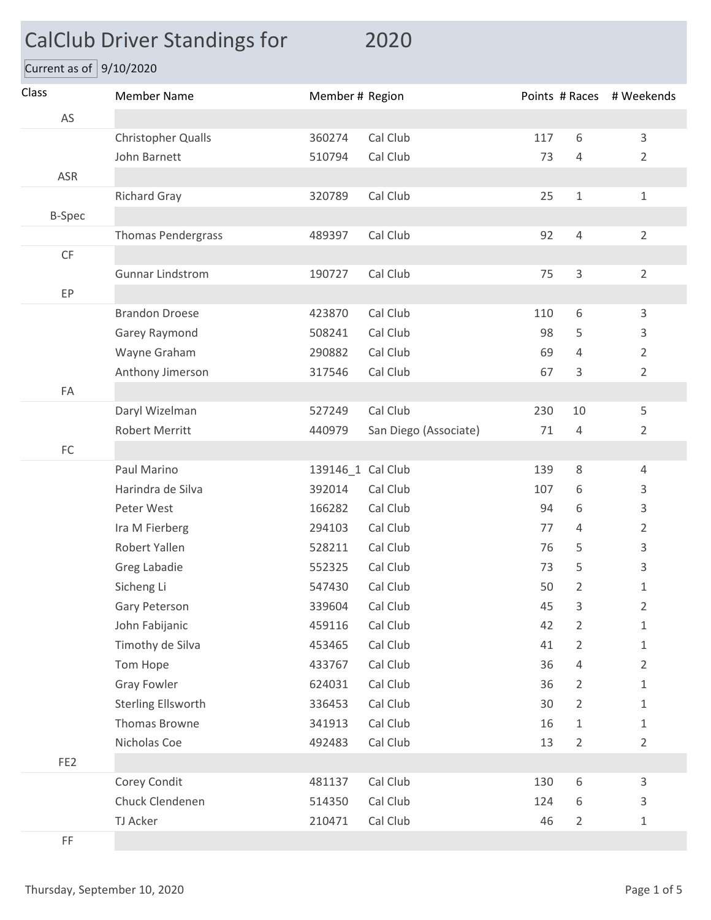## CalClub Driver Standings for 2020

Current as of  $9/10/2020$ 

| Class                  | <b>Member Name</b>        | Member # Region   |                       |     |                | Points # Races # Weekends |
|------------------------|---------------------------|-------------------|-----------------------|-----|----------------|---------------------------|
| AS                     |                           |                   |                       |     |                |                           |
|                        | Christopher Qualls        | 360274            | Cal Club              | 117 | $6\,$          | $\mathsf 3$               |
|                        | John Barnett              | 510794            | Cal Club              | 73  | $\overline{4}$ | $\overline{2}$            |
| ASR                    |                           |                   |                       |     |                |                           |
|                        | <b>Richard Gray</b>       | 320789            | Cal Club              | 25  | $\mathbf 1$    | $\mathbf 1$               |
| <b>B-Spec</b>          |                           |                   |                       |     |                |                           |
|                        | <b>Thomas Pendergrass</b> | 489397            | Cal Club              | 92  | $\overline{4}$ | $\overline{2}$            |
| $\mathsf{C}\mathsf{F}$ |                           |                   |                       |     |                |                           |
|                        | <b>Gunnar Lindstrom</b>   | 190727            | Cal Club              | 75  | 3              | $\overline{2}$            |
| EP                     |                           |                   |                       |     |                |                           |
|                        | <b>Brandon Droese</b>     | 423870            | Cal Club              | 110 | 6              | 3                         |
|                        | Garey Raymond             | 508241            | Cal Club              | 98  | 5              | $\mathsf 3$               |
|                        | Wayne Graham              | 290882            | Cal Club              | 69  | 4              | $\overline{2}$            |
|                        | Anthony Jimerson          | 317546            | Cal Club              | 67  | 3              | $\overline{2}$            |
| FA                     |                           |                   |                       |     |                |                           |
|                        | Daryl Wizelman            | 527249            | Cal Club              | 230 | 10             | 5                         |
|                        | <b>Robert Merritt</b>     | 440979            | San Diego (Associate) | 71  | $\overline{4}$ | $\overline{2}$            |
| FC                     |                           |                   |                       |     |                |                           |
|                        | Paul Marino               | 139146_1 Cal Club |                       | 139 | 8              | $\overline{4}$            |
|                        | Harindra de Silva         | 392014            | Cal Club              | 107 | 6              | 3                         |
|                        | Peter West                | 166282            | Cal Club              | 94  | 6              | $\mathsf 3$               |
|                        | Ira M Fierberg            | 294103            | Cal Club              | 77  | 4              | $\overline{2}$            |
|                        | Robert Yallen             | 528211            | Cal Club              | 76  | 5              | 3                         |
|                        | Greg Labadie              | 552325            | Cal Club              | 73  | 5              | 3                         |
|                        | Sicheng Li                | 547430            | Cal Club              | 50  | $\overline{2}$ | 1                         |
|                        | Gary Peterson             | 339604            | Cal Club              | 45  | 3              | 2                         |
|                        | John Fabijanic            | 459116            | Cal Club              | 42  | $\overline{2}$ | $1\,$                     |
|                        | Timothy de Silva          | 453465            | Cal Club              | 41  | $\overline{2}$ | $1\,$                     |
|                        | Tom Hope                  | 433767            | Cal Club              | 36  | 4              | $\overline{2}$            |
|                        | <b>Gray Fowler</b>        | 624031            | Cal Club              | 36  | 2              | $\mathbf 1$               |
|                        | <b>Sterling Ellsworth</b> | 336453            | Cal Club              | 30  | $\overline{2}$ | $\mathbf 1$               |
|                        | Thomas Browne             | 341913            | Cal Club              | 16  | 1              | $\mathbf 1$               |
|                        | Nicholas Coe              | 492483            | Cal Club              | 13  | $\overline{2}$ | $\overline{2}$            |
| FE <sub>2</sub>        |                           |                   |                       |     |                |                           |
|                        | Corey Condit              | 481137            | Cal Club              | 130 | $\,$ 6 $\,$    | $\mathsf{3}$              |
|                        | Chuck Clendenen           | 514350            | Cal Club              | 124 | 6              | 3                         |
|                        | TJ Acker                  | 210471            | Cal Club              | 46  | $\overline{2}$ | $\mathbf 1$               |
| $\mathsf{FF}% _{0}$    |                           |                   |                       |     |                |                           |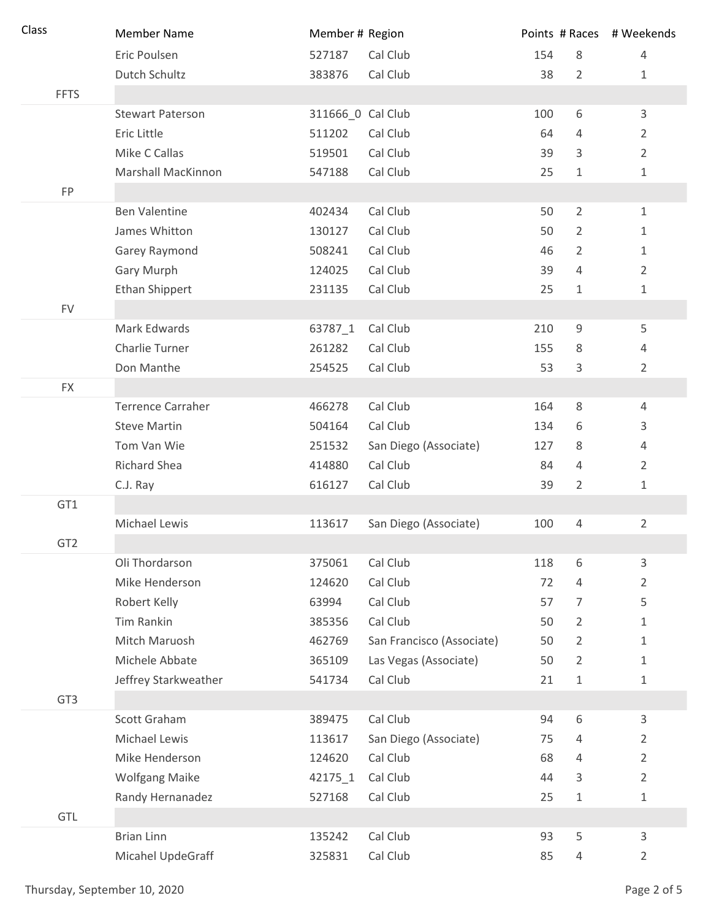| Class           | <b>Member Name</b>        | Member # Region   |                           |     |                | Points # Races # Weekends |
|-----------------|---------------------------|-------------------|---------------------------|-----|----------------|---------------------------|
|                 | Eric Poulsen              | 527187            | Cal Club                  | 154 | 8              | 4                         |
|                 | Dutch Schultz             | 383876            | Cal Club                  | 38  | $\overline{2}$ | 1                         |
| <b>FFTS</b>     |                           |                   |                           |     |                |                           |
|                 | <b>Stewart Paterson</b>   | 311666_0 Cal Club |                           | 100 | 6              | 3                         |
|                 | Eric Little               | 511202            | Cal Club                  | 64  | 4              | $\overline{2}$            |
|                 | Mike C Callas             | 519501            | Cal Club                  | 39  | 3              | $\overline{2}$            |
|                 | <b>Marshall MacKinnon</b> | 547188            | Cal Club                  | 25  | $\mathbf{1}$   | 1                         |
| FP              |                           |                   |                           |     |                |                           |
|                 | <b>Ben Valentine</b>      | 402434            | Cal Club                  | 50  | $\overline{2}$ | $\mathbf{1}$              |
|                 | James Whitton             | 130127            | Cal Club                  | 50  | 2              | 1                         |
|                 | Garey Raymond             | 508241            | Cal Club                  | 46  | $\overline{2}$ | $\mathbf{1}$              |
|                 | Gary Murph                | 124025            | Cal Club                  | 39  | 4              | $\overline{2}$            |
|                 | Ethan Shippert            | 231135            | Cal Club                  | 25  | 1              | 1                         |
| <b>FV</b>       |                           |                   |                           |     |                |                           |
|                 | Mark Edwards              | 63787_1           | Cal Club                  | 210 | 9              | 5                         |
|                 | Charlie Turner            | 261282            | Cal Club                  | 155 | 8              | 4                         |
|                 | Don Manthe                | 254525            | Cal Club                  | 53  | 3              | $\overline{2}$            |
| <b>FX</b>       |                           |                   |                           |     |                |                           |
|                 | <b>Terrence Carraher</b>  | 466278            | Cal Club                  | 164 | 8              | 4                         |
|                 | <b>Steve Martin</b>       | 504164            | Cal Club                  | 134 | 6              | 3                         |
|                 | Tom Van Wie               | 251532            | San Diego (Associate)     | 127 | 8              | 4                         |
|                 | <b>Richard Shea</b>       | 414880            | Cal Club                  | 84  | 4              | $\overline{2}$            |
|                 | C.J. Ray                  | 616127            | Cal Club                  | 39  | $\overline{2}$ | 1                         |
| GT1             |                           |                   |                           |     |                |                           |
|                 | Michael Lewis             | 113617            | San Diego (Associate)     | 100 | 4              | $\overline{2}$            |
| GT <sub>2</sub> |                           |                   |                           |     |                |                           |
|                 | Oli Thordarson            | 375061            | Cal Club                  | 118 | 6              | 3                         |
|                 | Mike Henderson            | 124620            | Cal Club                  | 72  | $\overline{4}$ | $\overline{2}$            |
|                 | Robert Kelly              | 63994             | Cal Club                  | 57  | $\overline{7}$ | 5                         |
|                 | <b>Tim Rankin</b>         | 385356            | Cal Club                  | 50  | $\overline{2}$ | 1                         |
|                 | Mitch Maruosh             | 462769            | San Francisco (Associate) | 50  | 2              | 1                         |
|                 | Michele Abbate            | 365109            | Las Vegas (Associate)     | 50  | $\overline{2}$ | 1                         |
|                 | Jeffrey Starkweather      | 541734            | Cal Club                  | 21  | $\mathbf{1}$   | 1                         |
| GT3             |                           |                   |                           |     |                |                           |
|                 | Scott Graham              | 389475            | Cal Club                  | 94  | 6              | 3                         |
|                 | Michael Lewis             | 113617            | San Diego (Associate)     | 75  | 4              | 2                         |
|                 | Mike Henderson            | 124620            | Cal Club                  | 68  | 4              | $\overline{2}$            |
|                 | <b>Wolfgang Maike</b>     | 42175 1           | Cal Club                  | 44  | 3              | $\overline{2}$            |
|                 | Randy Hernanadez          | 527168            | Cal Club                  | 25  | $\mathbf{1}$   | 1                         |
| GTL             |                           |                   |                           |     |                |                           |
|                 | <b>Brian Linn</b>         | 135242            | Cal Club                  | 93  | 5              | 3                         |
|                 | Micahel UpdeGraff         | 325831            | Cal Club                  | 85  | 4              | 2                         |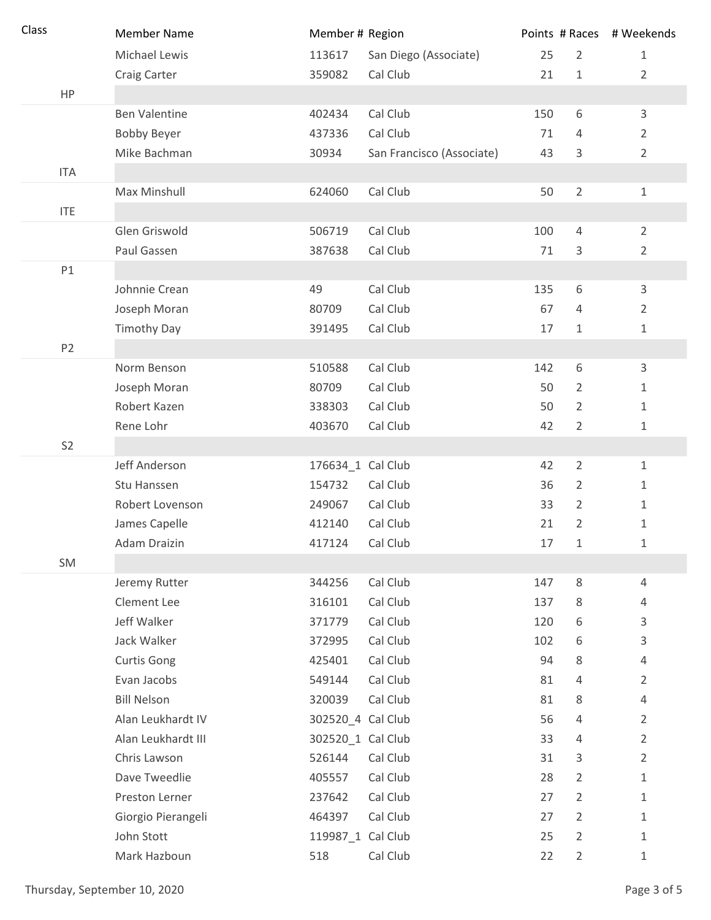| Class          | <b>Member Name</b>                | Member # Region   |                           |           |                     | Points # Races # Weekends        |
|----------------|-----------------------------------|-------------------|---------------------------|-----------|---------------------|----------------------------------|
|                | Michael Lewis                     | 113617            | San Diego (Associate)     | 25        | $\overline{2}$      | $\mathbf{1}$                     |
|                | Craig Carter                      | 359082            | Cal Club                  | 21        | $\mathbf{1}$        | $\overline{2}$                   |
| HP             |                                   |                   |                           |           |                     |                                  |
|                | <b>Ben Valentine</b>              | 402434            | Cal Club                  | 150       | 6                   | $\mathsf{3}$                     |
|                | <b>Bobby Beyer</b>                | 437336            | Cal Club                  | 71        | 4                   | $\overline{2}$                   |
|                | Mike Bachman                      | 30934             | San Francisco (Associate) | 43        | 3                   | $\overline{2}$                   |
| <b>ITA</b>     |                                   |                   |                           |           |                     |                                  |
|                | Max Minshull                      | 624060            | Cal Club                  | 50        | $\overline{2}$      | $\mathbf 1$                      |
| <b>ITE</b>     |                                   |                   |                           |           |                     |                                  |
|                | Glen Griswold                     | 506719            | Cal Club                  | 100       | 4                   | $\overline{2}$                   |
|                | Paul Gassen                       | 387638            | Cal Club                  | 71        | 3                   | $\overline{2}$                   |
| P1             |                                   |                   |                           |           |                     |                                  |
|                | Johnnie Crean                     | 49                | Cal Club                  | 135       | 6                   | $\mathsf{3}$                     |
|                | Joseph Moran                      | 80709             | Cal Club                  | 67        | $\overline{4}$      | $\overline{2}$                   |
|                | <b>Timothy Day</b>                | 391495            | Cal Club                  | 17        | $\mathbf{1}$        | $\mathbf 1$                      |
| P <sub>2</sub> |                                   |                   |                           |           |                     |                                  |
|                | Norm Benson                       | 510588            | Cal Club                  | 142       | 6                   | 3                                |
|                | Joseph Moran                      | 80709             | Cal Club                  | 50        | $\overline{2}$      | $\mathbf 1$                      |
|                | Robert Kazen                      | 338303            | Cal Club                  | 50        | $\overline{2}$      | $\mathbf 1$                      |
|                | Rene Lohr                         | 403670            | Cal Club                  | 42        | $\overline{2}$      | $\mathbf{1}$                     |
| S <sub>2</sub> |                                   |                   |                           |           |                     |                                  |
|                | Jeff Anderson                     | 176634_1 Cal Club |                           | 42        | $\overline{2}$      | $\mathbf{1}$                     |
|                | Stu Hanssen                       | 154732            | Cal Club                  | 36        | $\overline{2}$      | $\mathbf 1$                      |
|                | Robert Lovenson                   | 249067            | Cal Club                  | 33        | $\overline{2}$      | $\mathbf{1}$                     |
|                | James Capelle                     | 412140            | Cal Club                  | 21        | $\overline{2}$      | 1                                |
|                | Adam Draizin                      | 417124            | Cal Club                  | 17        | 1                   | 1                                |
| SM             |                                   |                   |                           |           |                     |                                  |
|                | Jeremy Rutter                     | 344256            | Cal Club                  | 147       | $\,8\,$             | $\overline{4}$                   |
|                | Clement Lee<br>Jeff Walker        | 316101            | Cal Club                  | 137       | 8                   | 4                                |
|                | Jack Walker                       | 371779            | Cal Club<br>Cal Club      | 120       | 6                   | 3                                |
|                |                                   | 372995            | Cal Club                  | 102<br>94 | 6                   | 3                                |
|                | <b>Curtis Gong</b><br>Evan Jacobs | 425401<br>549144  | Cal Club                  | 81        | 8<br>$\overline{4}$ | $\overline{4}$<br>$\overline{2}$ |
|                | <b>Bill Nelson</b>                | 320039            | Cal Club                  | 81        | 8                   | 4                                |
|                | Alan Leukhardt IV                 | 302520_4 Cal Club |                           | 56        | 4                   | $\overline{2}$                   |
|                | Alan Leukhardt III                | 302520_1 Cal Club |                           | 33        | 4                   | $\overline{2}$                   |
|                | Chris Lawson                      | 526144            | Cal Club                  | 31        | 3                   | $\overline{2}$                   |
|                | Dave Tweedlie                     | 405557            | Cal Club                  | 28        | $\overline{2}$      | $\mathbf{1}$                     |
|                | Preston Lerner                    | 237642            | Cal Club                  | 27        | $\overline{2}$      | $\mathbf{1}$                     |
|                | Giorgio Pierangeli                | 464397            | Cal Club                  | 27        | $\overline{2}$      | 1                                |
|                | John Stott                        | 119987_1 Cal Club |                           | 25        | $\overline{2}$      | $\mathbf{1}$                     |
|                | Mark Hazboun                      | 518               | Cal Club                  | 22        | $\overline{2}$      | $\mathbf 1$                      |
|                |                                   |                   |                           |           |                     |                                  |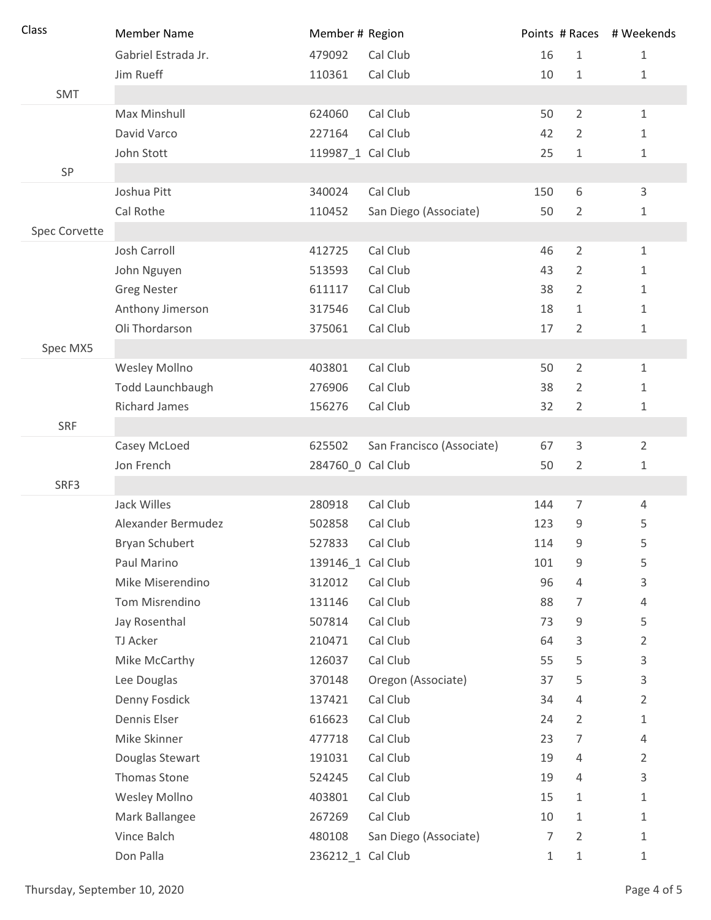| Class         | <b>Member Name</b>    | Member # Region   |                           |                |                | Points # Races # Weekends |
|---------------|-----------------------|-------------------|---------------------------|----------------|----------------|---------------------------|
|               | Gabriel Estrada Jr.   | 479092            | Cal Club                  | 16             | $\mathbf{1}$   | $\mathbf 1$               |
|               | Jim Rueff             | 110361            | Cal Club                  | 10             | $\mathbf{1}$   | 1                         |
| SMT           |                       |                   |                           |                |                |                           |
|               | Max Minshull          | 624060            | Cal Club                  | 50             | $\overline{2}$ | $\mathbf{1}$              |
|               | David Varco           | 227164            | Cal Club                  | 42             | 2              | 1                         |
|               | John Stott            | 119987 1 Cal Club |                           | 25             | 1              | 1                         |
| SP            |                       |                   |                           |                |                |                           |
|               | Joshua Pitt           | 340024            | Cal Club                  | 150            | 6              | 3                         |
|               | Cal Rothe             | 110452            | San Diego (Associate)     | 50             | $\overline{2}$ | 1                         |
| Spec Corvette |                       |                   |                           |                |                |                           |
|               | Josh Carroll          | 412725            | Cal Club                  | 46             | $\overline{2}$ | $\mathbf{1}$              |
|               | John Nguyen           | 513593            | Cal Club                  | 43             | $\overline{2}$ | 1                         |
|               | <b>Greg Nester</b>    | 611117            | Cal Club                  | 38             | $\overline{2}$ | 1                         |
|               | Anthony Jimerson      | 317546            | Cal Club                  | 18             | 1              | 1                         |
|               | Oli Thordarson        | 375061            | Cal Club                  | 17             | 2              | 1                         |
| Spec MX5      |                       |                   |                           |                |                |                           |
|               | Wesley Mollno         | 403801            | Cal Club                  | 50             | $\overline{2}$ | $\mathbf 1$               |
|               | Todd Launchbaugh      | 276906            | Cal Club                  | 38             | $\overline{2}$ | $\mathbf 1$               |
|               | <b>Richard James</b>  | 156276            | Cal Club                  | 32             | $\overline{2}$ | 1                         |
| <b>SRF</b>    |                       |                   |                           |                |                |                           |
|               | Casey McLoed          | 625502            | San Francisco (Associate) | 67             | 3              | $\overline{2}$            |
|               | Jon French            | 284760_0 Cal Club |                           | 50             | 2              | 1                         |
| SRF3          |                       |                   |                           |                |                |                           |
|               | Jack Willes           | 280918            | Cal Club                  | 144            | $\overline{7}$ | $\overline{4}$            |
|               | Alexander Bermudez    | 502858            | Cal Club                  | 123            | 9              | 5                         |
|               | <b>Bryan Schubert</b> | 527833            | Cal Club                  | 114            | 9              | 5                         |
|               | Paul Marino           | 139146_1 Cal Club |                           | 101            | 9              | 5                         |
|               | Mike Miserendino      | 312012            | Cal Club                  | 96             | 4              | 3                         |
|               | Tom Misrendino        | 131146            | Cal Club                  | 88             | 7              | 4                         |
|               | Jay Rosenthal         | 507814            | Cal Club                  | 73             | 9              | 5                         |
|               | TJ Acker              | 210471            | Cal Club                  | 64             | 3              | 2                         |
|               | Mike McCarthy         | 126037            | Cal Club                  | 55             | 5              | 3                         |
|               | Lee Douglas           | 370148            | Oregon (Associate)        | 37             | 5              | 3                         |
|               | Denny Fosdick         | 137421            | Cal Club                  | 34             | 4              | 2                         |
|               | Dennis Elser          | 616623            | Cal Club                  | 24             | 2              | 1                         |
|               | Mike Skinner          | 477718            | Cal Club                  | 23             | 7              | 4                         |
|               | Douglas Stewart       | 191031            | Cal Club                  | 19             | 4              | $\overline{2}$            |
|               | Thomas Stone          | 524245            | Cal Club                  | 19             | 4              | 3                         |
|               | Wesley Mollno         | 403801            | Cal Club                  | 15             | 1              | 1                         |
|               | Mark Ballangee        | 267269            | Cal Club                  | 10             | 1              | 1                         |
|               | Vince Balch           | 480108            | San Diego (Associate)     | $\overline{7}$ | $\overline{2}$ | 1                         |
|               | Don Palla             | 236212_1 Cal Club |                           | 1              | 1              | $\mathbf{1}$              |